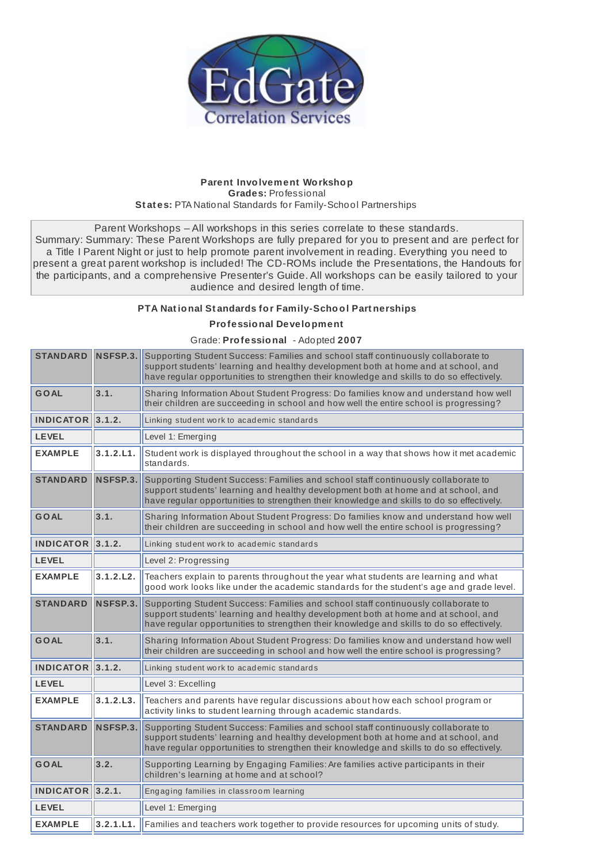

## **Parent Involvement Workshop Grades:** Professional **St at es:** PTA National Standards for Family-School Partnerships

Parent Workshops – All workshops in this series correlate to these standards. Summary: Summary: These Parent Workshops are fully prepared for you to present and are perfect for a Title I Parent Night or just to help promote parent involvement in reading. Everything you need to present a great parent workshop is included! The CD-ROMs include the Presentations, the Handouts for the participants, and a comprehensive Presenter's Guide. All workshops can be easily tailored to your audience and desired length of time.

## **PTA Nat ional St andards for Family-School Part nerships**

## **Professional Development**

## Grade: **Professional** - Adopted **2007**

| <b>STANDARD</b>         | NSFSP.3.  | Supporting Student Success: Families and school staff continuously collaborate to<br>support students' learning and healthy development both at home and at school, and<br>have regular opportunities to strengthen their knowledge and skills to do so effectively. |
|-------------------------|-----------|----------------------------------------------------------------------------------------------------------------------------------------------------------------------------------------------------------------------------------------------------------------------|
| <b>GOAL</b>             | 3.1.      | Sharing Information About Student Progress: Do families know and understand how well<br>their children are succeeding in school and how well the entire school is progressing?                                                                                       |
| <b>INDICATOR 3.1.2.</b> |           | Linking student work to academic standards                                                                                                                                                                                                                           |
| <b>LEVEL</b>            |           | Level 1: Emerging                                                                                                                                                                                                                                                    |
| <b>EXAMPLE</b>          | 3.1.2.L1. | Student work is displayed throughout the school in a way that shows how it met academic<br>standards.                                                                                                                                                                |
| <b>STANDARD</b>         | NSFSP.3.  | Supporting Student Success: Families and school staff continuously collaborate to<br>support students' learning and healthy development both at home and at school, and<br>have regular opportunities to strengthen their knowledge and skills to do so effectively. |
| <b>GOAL</b>             | 3.1.      | Sharing Information About Student Progress: Do families know and understand how well<br>their children are succeeding in school and how well the entire school is progressing?                                                                                       |
| $INDICATOR$ 3.1.2.      |           | Linking student work to academic standards                                                                                                                                                                                                                           |
| <b>LEVEL</b>            |           | Level 2: Progressing                                                                                                                                                                                                                                                 |
| <b>EXAMPLE</b>          | 3.1.2.L2. | Teachers explain to parents throughout the year what students are learning and what<br>good work looks like under the academic standards for the student's age and grade level.                                                                                      |
| <b>STANDARD</b>         | NSFSP.3.  | Supporting Student Success: Families and school staff continuously collaborate to<br>support students' learning and healthy development both at home and at school, and<br>have regular opportunities to strengthen their knowledge and skills to do so effectively. |
| <b>GOAL</b>             | 3.1.      | Sharing Information About Student Progress: Do families know and understand how well<br>their children are succeeding in school and how well the entire school is progressing?                                                                                       |
| $INDICATOR$ 3.1.2.      |           | Linking student work to academic standards                                                                                                                                                                                                                           |
| <b>LEVEL</b>            |           | Level 3: Excelling                                                                                                                                                                                                                                                   |
| <b>EXAMPLE</b>          | 3.1.2.L3. | Teachers and parents have regular discussions about how each school program or<br>activity links to student learning through academic standards.                                                                                                                     |
| <b>STANDARD</b>         | NSFSP.3.  | Supporting Student Success: Families and school staff continuously collaborate to<br>support students' learning and healthy development both at home and at school, and<br>have regular opportunities to strengthen their knowledge and skills to do so effectively. |
| GOAL                    | 3.2.      | Supporting Learning by Engaging Families: Are families active participants in their<br>children's learning at home and at school?                                                                                                                                    |
| INDICATOR 3.2.1.        |           | Engaging families in classroom learning                                                                                                                                                                                                                              |
| <b>LEVEL</b>            |           | Level 1: Emerging                                                                                                                                                                                                                                                    |
| <b>EXAMPLE</b>          | 3.2.1.L1. | Families and teachers work together to provide resources for upcoming units of study.                                                                                                                                                                                |